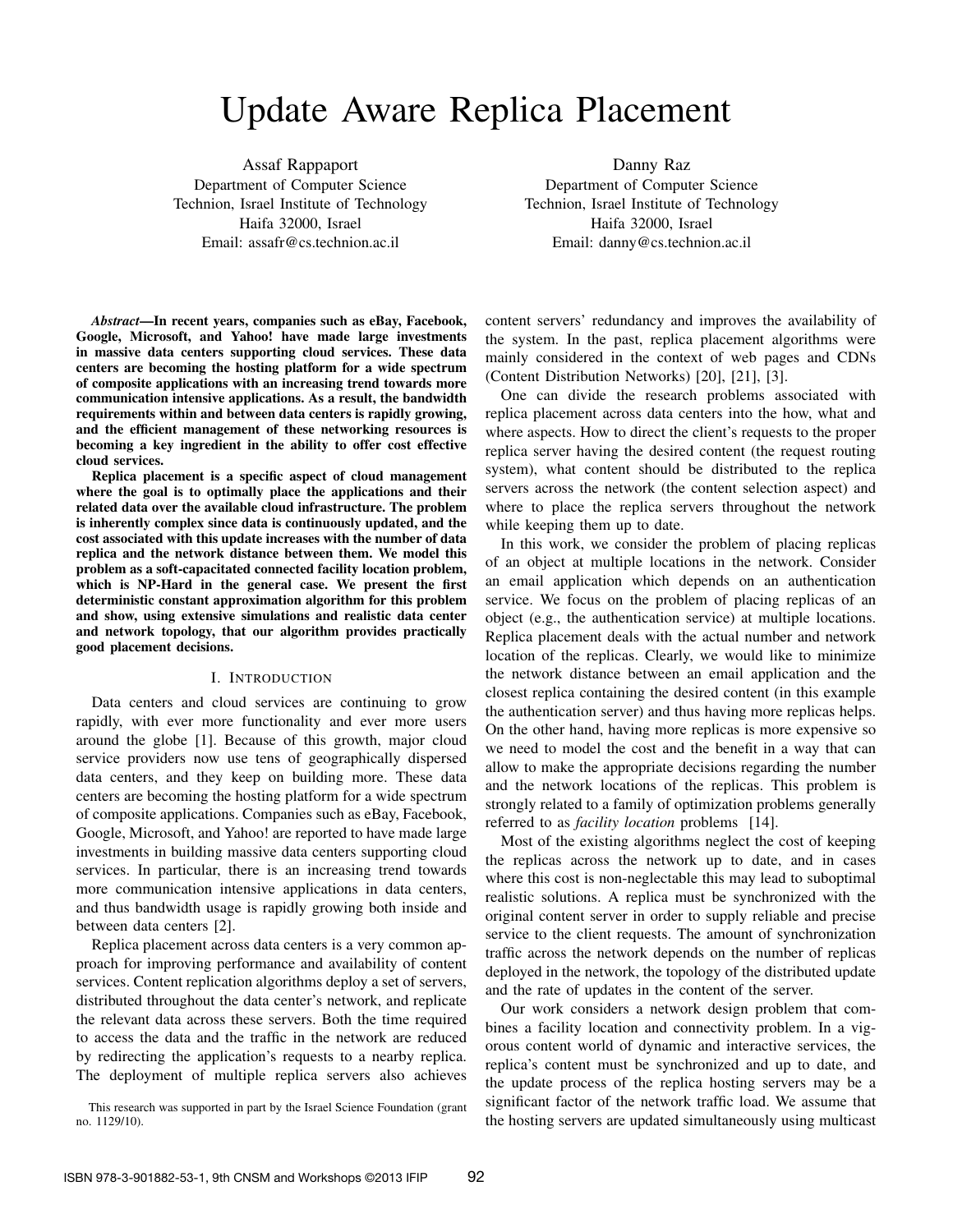# Update Aware Replica Placement

Assaf Rappaport Department of Computer Science Technion, Israel Institute of Technology Haifa 32000, Israel Email: assafr@cs.technion.ac.il

Danny Raz Department of Computer Science Technion, Israel Institute of Technology Haifa 32000, Israel Email: danny@cs.technion.ac.il

*Abstract*—In recent years, companies such as eBay, Facebook, Google, Microsoft, and Yahoo! have made large investments in massive data centers supporting cloud services. These data centers are becoming the hosting platform for a wide spectrum of composite applications with an increasing trend towards more communication intensive applications. As a result, the bandwidth requirements within and between data centers is rapidly growing, and the efficient management of these networking resources is becoming a key ingredient in the ability to offer cost effective cloud services.

Replica placement is a specific aspect of cloud management where the goal is to optimally place the applications and their related data over the available cloud infrastructure. The problem is inherently complex since data is continuously updated, and the cost associated with this update increases with the number of data replica and the network distance between them. We model this problem as a soft-capacitated connected facility location problem, which is NP-Hard in the general case. We present the first deterministic constant approximation algorithm for this problem and show, using extensive simulations and realistic data center and network topology, that our algorithm provides practically good placement decisions.

# I. INTRODUCTION

Data centers and cloud services are continuing to grow rapidly, with ever more functionality and ever more users around the globe [1]. Because of this growth, major cloud service providers now use tens of geographically dispersed data centers, and they keep on building more. These data centers are becoming the hosting platform for a wide spectrum of composite applications. Companies such as eBay, Facebook, Google, Microsoft, and Yahoo! are reported to have made large investments in building massive data centers supporting cloud services. In particular, there is an increasing trend towards more communication intensive applications in data centers, and thus bandwidth usage is rapidly growing both inside and between data centers [2].

Replica placement across data centers is a very common approach for improving performance and availability of content services. Content replication algorithms deploy a set of servers, distributed throughout the data center's network, and replicate the relevant data across these servers. Both the time required to access the data and the traffic in the network are reduced by redirecting the application's requests to a nearby replica. The deployment of multiple replica servers also achieves

This research was supported in part by the Israel Science Foundation (grant no. 1129/10).

content servers' redundancy and improves the availability of the system. In the past, replica placement algorithms were mainly considered in the context of web pages and CDNs (Content Distribution Networks) [20], [21], [3].

One can divide the research problems associated with replica placement across data centers into the how, what and where aspects. How to direct the client's requests to the proper replica server having the desired content (the request routing system), what content should be distributed to the replica servers across the network (the content selection aspect) and where to place the replica servers throughout the network while keeping them up to date.

In this work, we consider the problem of placing replicas of an object at multiple locations in the network. Consider an email application which depends on an authentication service. We focus on the problem of placing replicas of an object (e.g., the authentication service) at multiple locations. Replica placement deals with the actual number and network location of the replicas. Clearly, we would like to minimize the network distance between an email application and the closest replica containing the desired content (in this example the authentication server) and thus having more replicas helps. On the other hand, having more replicas is more expensive so we need to model the cost and the benefit in a way that can allow to make the appropriate decisions regarding the number and the network locations of the replicas. This problem is strongly related to a family of optimization problems generally referred to as *facility location* problems [14].

Most of the existing algorithms neglect the cost of keeping the replicas across the network up to date, and in cases where this cost is non-neglectable this may lead to suboptimal realistic solutions. A replica must be synchronized with the original content server in order to supply reliable and precise service to the client requests. The amount of synchronization traffic across the network depends on the number of replicas deployed in the network, the topology of the distributed update and the rate of updates in the content of the server.

Our work considers a network design problem that combines a facility location and connectivity problem. In a vigorous content world of dynamic and interactive services, the replica's content must be synchronized and up to date, and the update process of the replica hosting servers may be a significant factor of the network traffic load. We assume that the hosting servers are updated simultaneously using multicast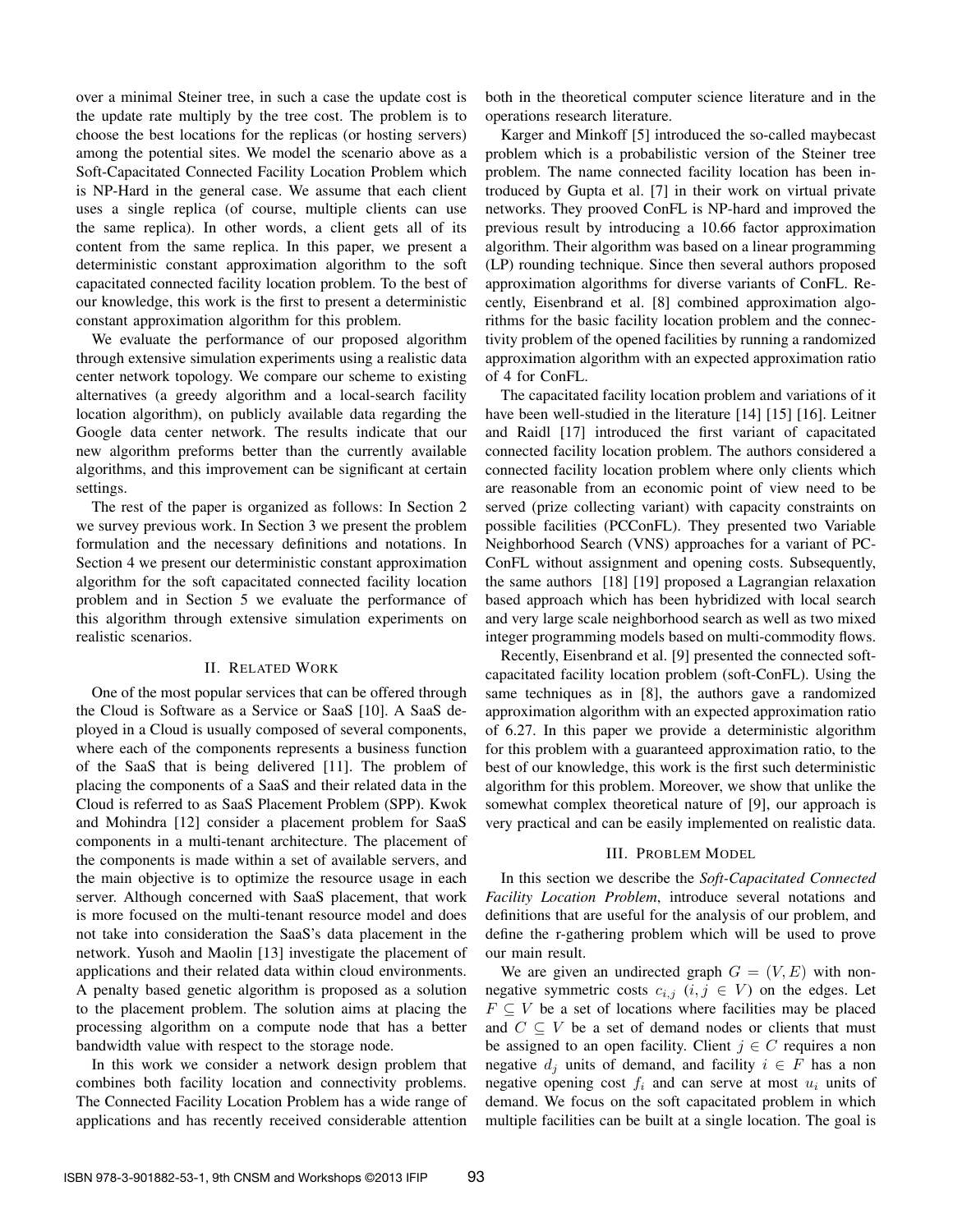over a minimal Steiner tree, in such a case the update cost is the update rate multiply by the tree cost. The problem is to choose the best locations for the replicas (or hosting servers) among the potential sites. We model the scenario above as a Soft-Capacitated Connected Facility Location Problem which is NP-Hard in the general case. We assume that each client uses a single replica (of course, multiple clients can use the same replica). In other words, a client gets all of its content from the same replica. In this paper, we present a deterministic constant approximation algorithm to the soft capacitated connected facility location problem. To the best of our knowledge, this work is the first to present a deterministic constant approximation algorithm for this problem.

We evaluate the performance of our proposed algorithm through extensive simulation experiments using a realistic data center network topology. We compare our scheme to existing alternatives (a greedy algorithm and a local-search facility location algorithm), on publicly available data regarding the Google data center network. The results indicate that our new algorithm preforms better than the currently available algorithms, and this improvement can be significant at certain settings.

The rest of the paper is organized as follows: In Section 2 we survey previous work. In Section 3 we present the problem formulation and the necessary definitions and notations. In Section 4 we present our deterministic constant approximation algorithm for the soft capacitated connected facility location problem and in Section 5 we evaluate the performance of this algorithm through extensive simulation experiments on realistic scenarios.

### II. RELATED WORK

One of the most popular services that can be offered through the Cloud is Software as a Service or SaaS [10]. A SaaS deployed in a Cloud is usually composed of several components, where each of the components represents a business function of the SaaS that is being delivered [11]. The problem of placing the components of a SaaS and their related data in the Cloud is referred to as SaaS Placement Problem (SPP). Kwok and Mohindra [12] consider a placement problem for SaaS components in a multi-tenant architecture. The placement of the components is made within a set of available servers, and the main objective is to optimize the resource usage in each server. Although concerned with SaaS placement, that work is more focused on the multi-tenant resource model and does not take into consideration the SaaS's data placement in the network. Yusoh and Maolin [13] investigate the placement of applications and their related data within cloud environments. A penalty based genetic algorithm is proposed as a solution to the placement problem. The solution aims at placing the processing algorithm on a compute node that has a better bandwidth value with respect to the storage node.

In this work we consider a network design problem that combines both facility location and connectivity problems. The Connected Facility Location Problem has a wide range of applications and has recently received considerable attention both in the theoretical computer science literature and in the operations research literature.

Karger and Minkoff [5] introduced the so-called maybecast problem which is a probabilistic version of the Steiner tree problem. The name connected facility location has been introduced by Gupta et al. [7] in their work on virtual private networks. They prooved ConFL is NP-hard and improved the previous result by introducing a 10.66 factor approximation algorithm. Their algorithm was based on a linear programming (LP) rounding technique. Since then several authors proposed approximation algorithms for diverse variants of ConFL. Recently, Eisenbrand et al. [8] combined approximation algorithms for the basic facility location problem and the connectivity problem of the opened facilities by running a randomized approximation algorithm with an expected approximation ratio of 4 for ConFL.

The capacitated facility location problem and variations of it have been well-studied in the literature [14] [15] [16]. Leitner and Raidl [17] introduced the first variant of capacitated connected facility location problem. The authors considered a connected facility location problem where only clients which are reasonable from an economic point of view need to be served (prize collecting variant) with capacity constraints on possible facilities (PCConFL). They presented two Variable Neighborhood Search (VNS) approaches for a variant of PC-ConFL without assignment and opening costs. Subsequently, the same authors [18] [19] proposed a Lagrangian relaxation based approach which has been hybridized with local search and very large scale neighborhood search as well as two mixed integer programming models based on multi-commodity flows.

Recently, Eisenbrand et al. [9] presented the connected softcapacitated facility location problem (soft-ConFL). Using the same techniques as in [8], the authors gave a randomized approximation algorithm with an expected approximation ratio of 6.27. In this paper we provide a deterministic algorithm for this problem with a guaranteed approximation ratio, to the best of our knowledge, this work is the first such deterministic algorithm for this problem. Moreover, we show that unlike the somewhat complex theoretical nature of [9], our approach is very practical and can be easily implemented on realistic data.

#### III. PROBLEM MODEL

In this section we describe the *Soft-Capacitated Connected Facility Location Problem*, introduce several notations and definitions that are useful for the analysis of our problem, and define the r-gathering problem which will be used to prove our main result.

We are given an undirected graph  $G = (V, E)$  with nonnegative symmetric costs  $c_{i,j}$   $(i, j \in V)$  on the edges. Let  $F \subseteq V$  be a set of locations where facilities may be placed and  $C \subseteq V$  be a set of demand nodes or clients that must be assigned to an open facility. Client  $j \in C$  requires a non negative  $d_i$  units of demand, and facility  $i \in F$  has a non negative opening cost  $f_i$  and can serve at most  $u_i$  units of demand. We focus on the soft capacitated problem in which multiple facilities can be built at a single location. The goal is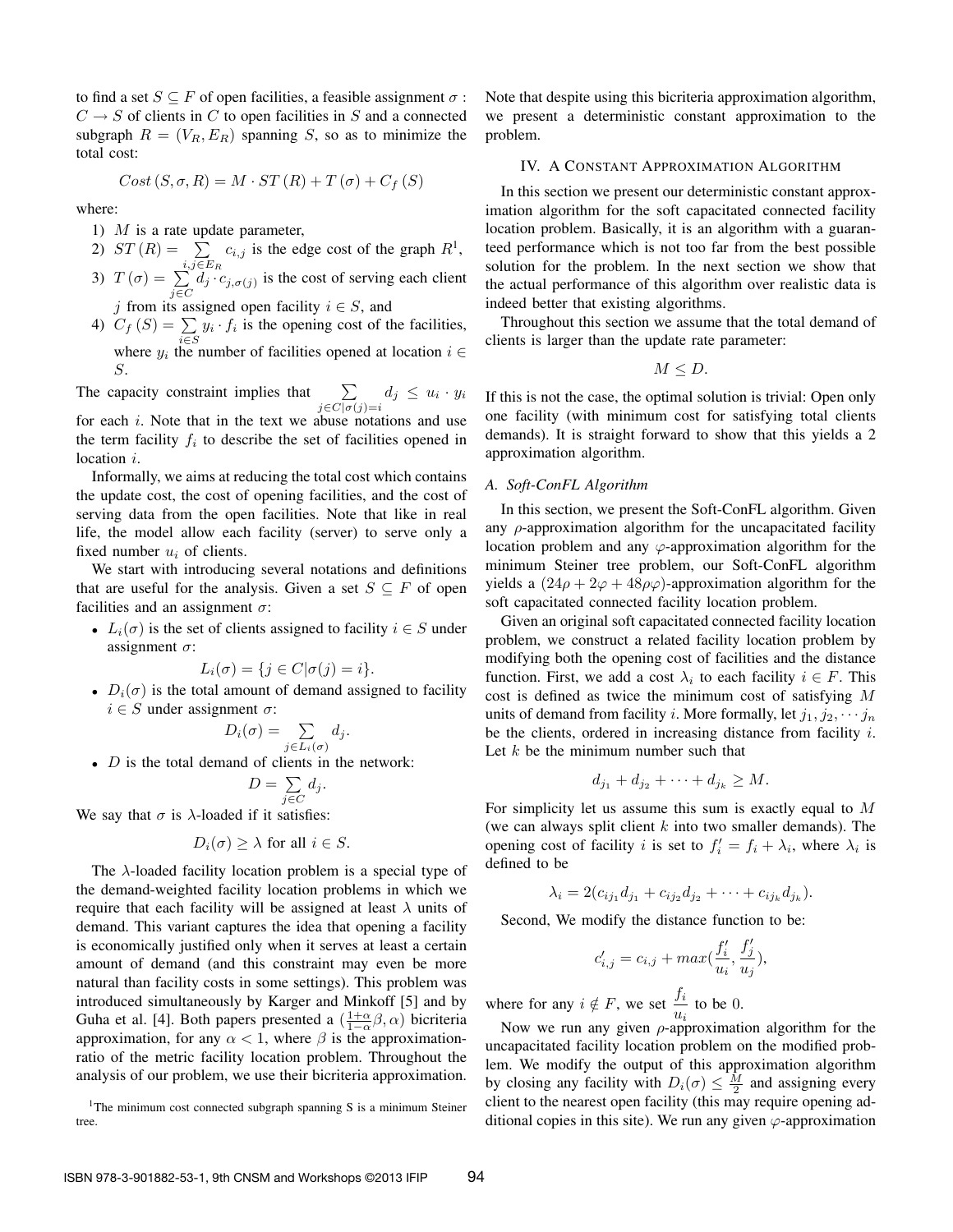to find a set  $S \subseteq F$  of open facilities, a feasible assignment  $\sigma$ :  $C \rightarrow S$  of clients in C to open facilities in S and a connected subgraph  $R = (V_R, E_R)$  spanning S, so as to minimize the total cost:

$$
Cost(S, \sigma, R) = M \cdot ST(R) + T(\sigma) + C_f(S)
$$

where:

- 1)  $M$  is a rate update parameter,
- 2)  $ST(R) = \sum$  $\sum_{i,j\in E_R} c_{i,j}$  is the edge cost of the graph  $R^1$ ,
- 3)  $T(\sigma) = \sum$  $\sum_{j \in C} d_j \cdot c_{j, \sigma(j)}$  is the cost of serving each client j from its assigned open facility  $i \in S$ , and
- 
- 4)  $C_f(S) = \sum_{i \in S} y_i \cdot f_i$  is the opening cost of the facilities, where  $y_i$  the number of facilities opened at location  $i \in$ S.

The capacity constraint implies that  $\sum$  $\sum_{j \in C | \sigma(j) = i} d_j \leq u_i \cdot y_i$ 

for each i. Note that in the text we abuse notations and use the term facility  $f_i$  to describe the set of facilities opened in location *i*.

Informally, we aims at reducing the total cost which contains the update cost, the cost of opening facilities, and the cost of serving data from the open facilities. Note that like in real life, the model allow each facility (server) to serve only a fixed number  $u_i$  of clients.

We start with introducing several notations and definitions that are useful for the analysis. Given a set  $S \subseteq F$  of open facilities and an assignment  $\sigma$ :

•  $L_i(\sigma)$  is the set of clients assigned to facility  $i \in S$  under assignment  $\sigma$ :

$$
L_i(\sigma) = \{ j \in C | \sigma(j) = i \}.
$$

•  $D_i(\sigma)$  is the total amount of demand assigned to facility  $i \in S$  under assignment  $\sigma$ :

$$
D_i(\sigma) = \sum_{j \in L_i(\sigma)} d_j.
$$

•  $D$  is the total demand of clients in the network:

$$
D = \sum_{j \in C} d_j.
$$

We say that  $\sigma$  is  $\lambda$ -loaded if it satisfies:

$$
D_i(\sigma) \ge \lambda \text{ for all } i \in S.
$$

The  $\lambda$ -loaded facility location problem is a special type of the demand-weighted facility location problems in which we require that each facility will be assigned at least  $\lambda$  units of demand. This variant captures the idea that opening a facility is economically justified only when it serves at least a certain amount of demand (and this constraint may even be more natural than facility costs in some settings). This problem was introduced simultaneously by Karger and Minkoff [5] and by Guha et al. [4]. Both papers presented a  $(\frac{1+\alpha}{1-\alpha}\beta, \alpha)$  bicriteria approximation, for any  $\alpha < 1$ , where  $\beta$  is the approximationratio of the metric facility location problem. Throughout the analysis of our problem, we use their bicriteria approximation.

<sup>1</sup>The minimum cost connected subgraph spanning S is a minimum Steiner tree.

Note that despite using this bicriteria approximation algorithm, we present a deterministic constant approximation to the problem.

#### IV. A CONSTANT APPROXIMATION ALGORITHM

In this section we present our deterministic constant approximation algorithm for the soft capacitated connected facility location problem. Basically, it is an algorithm with a guaranteed performance which is not too far from the best possible solution for the problem. In the next section we show that the actual performance of this algorithm over realistic data is indeed better that existing algorithms.

Throughout this section we assume that the total demand of clients is larger than the update rate parameter:

$$
M\leq D.
$$

If this is not the case, the optimal solution is trivial: Open only one facility (with minimum cost for satisfying total clients demands). It is straight forward to show that this yields a 2 approximation algorithm.

#### *A. Soft-ConFL Algorithm*

In this section, we present the Soft-ConFL algorithm. Given any  $\rho$ -approximation algorithm for the uncapacitated facility location problem and any  $\varphi$ -approximation algorithm for the minimum Steiner tree problem, our Soft-ConFL algorithm yields a  $(24\rho + 2\varphi + 48\rho\varphi)$ -approximation algorithm for the soft capacitated connected facility location problem.

Given an original soft capacitated connected facility location problem, we construct a related facility location problem by modifying both the opening cost of facilities and the distance function. First, we add a cost  $\lambda_i$  to each facility  $i \in F$ . This cost is defined as twice the minimum cost of satisfying M units of demand from facility *i*. More formally, let  $j_1, j_2, \cdots, j_n$ be the clients, ordered in increasing distance from facility i. Let  $k$  be the minimum number such that

$$
d_{j_1}+d_{j_2}+\cdots+d_{j_k}\geq M.
$$

For simplicity let us assume this sum is exactly equal to M (we can always split client  $k$  into two smaller demands). The opening cost of facility *i* is set to  $f_i' = f_i + \lambda_i$ , where  $\lambda_i$  is defined to be

$$
\lambda_i = 2(c_{ij_1}d_{j_1} + c_{ij_2}d_{j_2} + \cdots + c_{ij_k}d_{j_k}).
$$

Second, We modify the distance function to be:

$$
c'_{i,j}=c_{i,j}+\max(\frac{f'_i}{u_i},\frac{f'_j}{u_j}),
$$

where for any  $i \notin F$ , we set  $\frac{f_i}{f}$  $\frac{J_i}{u_i}$  to be 0.

Now we run any given  $\rho$ -approximation algorithm for the uncapacitated facility location problem on the modified problem. We modify the output of this approximation algorithm by closing any facility with  $D_i(\sigma) \leq \frac{M}{2}$  and assigning every client to the nearest open facility (this may require opening additional copies in this site). We run any given  $\varphi$ -approximation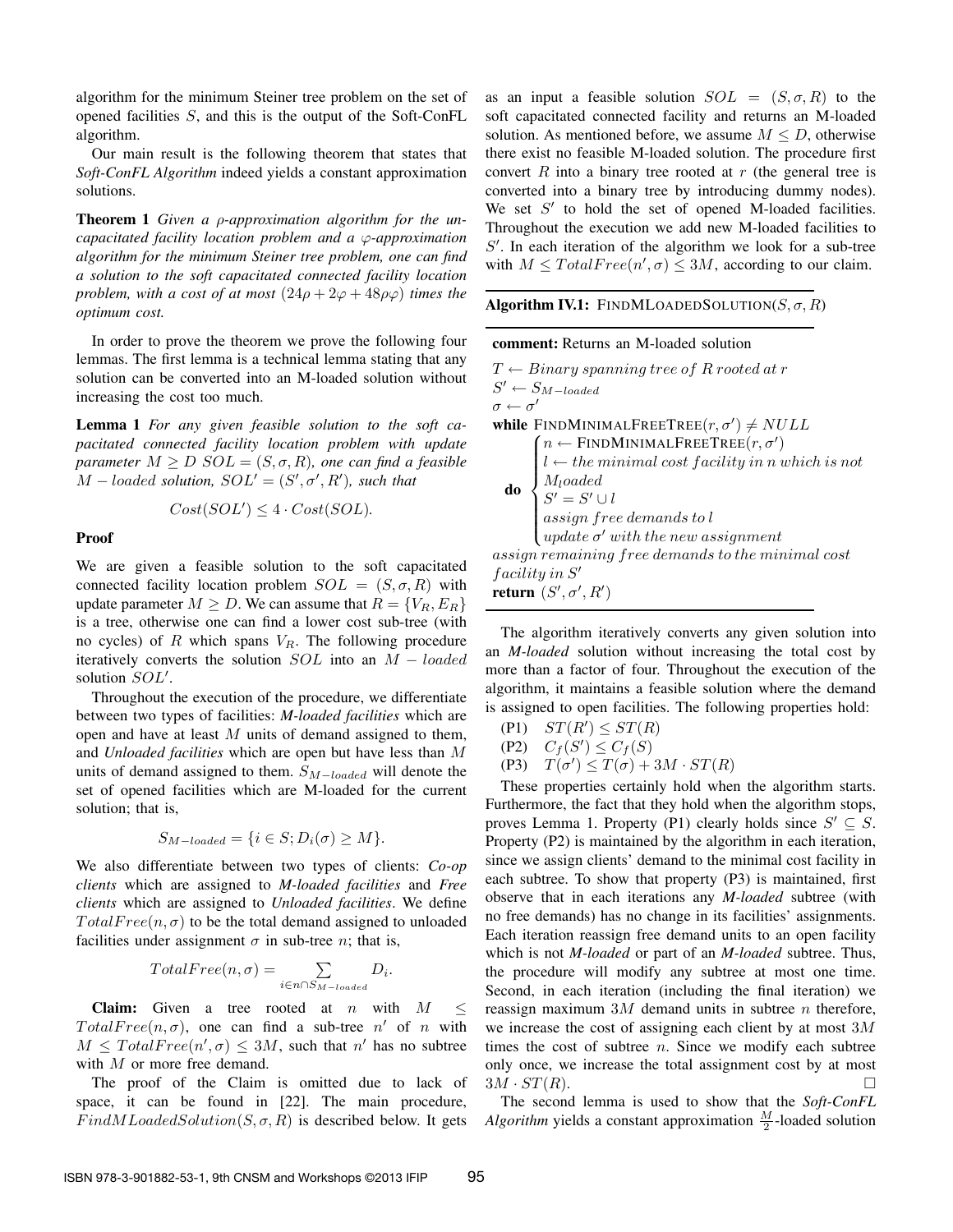algorithm for the minimum Steiner tree problem on the set of opened facilities S, and this is the output of the Soft-ConFL algorithm.

Our main result is the following theorem that states that *Soft-ConFL Algorithm* indeed yields a constant approximation solutions.

Theorem 1 *Given a* ρ*-approximation algorithm for the uncapacitated facility location problem and a* ϕ*-approximation algorithm for the minimum Steiner tree problem, one can find a solution to the soft capacitated connected facility location problem, with a cost of at most*  $(24\rho + 2\varphi + 48\rho\varphi)$  *times the optimum cost.*

In order to prove the theorem we prove the following four lemmas. The first lemma is a technical lemma stating that any solution can be converted into an M-loaded solution without increasing the cost too much.

Lemma 1 *For any given feasible solution to the soft capacitated connected facility location problem with update parameter*  $M \geq D$   $SOL = (S, \sigma, R)$ *, one can find a feasible*  $M - loaded$  *solution,*  $SOL' = (S', \sigma', R')$ *, such that* 

$$
Cost(SOL') \le 4 \cdot Cost(SOL).
$$

Proof

We are given a feasible solution to the soft capacitated connected facility location problem  $SOL = (S, \sigma, R)$  with update parameter  $M \geq D$ . We can assume that  $R = \{V_B, E_B\}$ is a tree, otherwise one can find a lower cost sub-tree (with no cycles) of  $R$  which spans  $V_R$ . The following procedure iteratively converts the solution  $SOL$  into an  $M - loaded$ solution  $SOL'$ .

Throughout the execution of the procedure, we differentiate between two types of facilities: *M-loaded facilities* which are open and have at least M units of demand assigned to them, and *Unloaded facilities* which are open but have less than M units of demand assigned to them.  $S_{M-loaded}$  will denote the set of opened facilities which are M-loaded for the current solution; that is,

$$
S_{M-loaded} = \{ i \in S; D_i(\sigma) \ge M \}.
$$

We also differentiate between two types of clients: *Co-op clients* which are assigned to *M-loaded facilities* and *Free clients* which are assigned to *Unloaded facilities*. We define  $TotalFree(n, \sigma)$  to be the total demand assigned to unloaded facilities under assignment  $\sigma$  in sub-tree *n*; that is,

$$
TotalFree(n, \sigma) = \sum_{i \in n \cap S_{M-loaded}} D_i.
$$

**Claim:** Given a tree rooted at *n* with  $M \leq$  $Total Free(n, \sigma)$ , one can find a sub-tree n' of n with  $M \leq TotalFree(n', \sigma) \leq 3M$ , such that n' has no subtree with M or more free demand.

The proof of the Claim is omitted due to lack of space, it can be found in [22]. The main procedure,  $Find MLoadedSolution(S, \sigma, R)$  is described below. It gets as an input a feasible solution  $SOL = (S, \sigma, R)$  to the soft capacitated connected facility and returns an M-loaded solution. As mentioned before, we assume  $M \leq D$ , otherwise there exist no feasible M-loaded solution. The procedure first convert  $R$  into a binary tree rooted at  $r$  (the general tree is converted into a binary tree by introducing dummy nodes). We set  $S'$  to hold the set of opened M-loaded facilities. Throughout the execution we add new M-loaded facilities to  $S'$ . In each iteration of the algorithm we look for a sub-tree with  $M \leq TotalFree(n', \sigma) \leq 3M$ , according to our claim.

**Algorithm IV.1:** FINDMLOADEDSOLUTION( $S$ ,  $\sigma$ ,  $R$ )

| <b>comment:</b> Returns an M-loaded solution                                                                                                                                                                                                                                                                                                                                                                                                                                                                                                     |
|--------------------------------------------------------------------------------------------------------------------------------------------------------------------------------------------------------------------------------------------------------------------------------------------------------------------------------------------------------------------------------------------------------------------------------------------------------------------------------------------------------------------------------------------------|
| $T \leftarrow Binary spanning tree of R rooted at r$                                                                                                                                                                                                                                                                                                                                                                                                                                                                                             |
| $S' \leftarrow S_{M-loaded}$<br>$\sigma \leftarrow \sigma'$                                                                                                                                                                                                                                                                                                                                                                                                                                                                                      |
|                                                                                                                                                                                                                                                                                                                                                                                                                                                                                                                                                  |
| while FINDMINIMALFREETREE $(r, \sigma') \neq NULL$                                                                                                                                                                                                                                                                                                                                                                                                                                                                                               |
|                                                                                                                                                                                                                                                                                                                                                                                                                                                                                                                                                  |
|                                                                                                                                                                                                                                                                                                                                                                                                                                                                                                                                                  |
|                                                                                                                                                                                                                                                                                                                                                                                                                                                                                                                                                  |
|                                                                                                                                                                                                                                                                                                                                                                                                                                                                                                                                                  |
| $\begin{minipage}{0.5\textwidth} \begin{minipage}{0.5\textwidth} \begin{minipage}{0.5\textwidth} \begin{itemize} \begin{itemize} \begin{itemize} \begin{itemize} \end{itemize} \end{itemize} \end{itemize} \end{itemize} \end{minipage} } \begin{minipage}{0.5\textwidth} \begin{itemize} \begin{itemize} \begin{itemize} \end{itemize} \end{itemize} \end{itemize} \end{minipage} } \begin{minipage}{0.5\textwidth} \begin{itemize} \begin{itemize} \begin{itemize} \end{itemize} \end{itemize} \end{itemize} \end{minipage} } \begin{minipage$ |
|                                                                                                                                                                                                                                                                                                                                                                                                                                                                                                                                                  |
| assign remaining free demands to the minimal cost                                                                                                                                                                                                                                                                                                                                                                                                                                                                                                |
| facility in S'                                                                                                                                                                                                                                                                                                                                                                                                                                                                                                                                   |
| <b>return</b> $(S', \sigma', R')$                                                                                                                                                                                                                                                                                                                                                                                                                                                                                                                |

The algorithm iteratively converts any given solution into an *M-loaded* solution without increasing the total cost by more than a factor of four. Throughout the execution of the algorithm, it maintains a feasible solution where the demand is assigned to open facilities. The following properties hold:

- $(P1)$   $ST(R') \leq ST(R)$
- (P2)  $C_f(S') \leq C_f(S)$
- (P3)  $T(\sigma') \leq T(\sigma) + 3M \cdot ST(R)$

These properties certainly hold when the algorithm starts. Furthermore, the fact that they hold when the algorithm stops, proves Lemma 1. Property (P1) clearly holds since  $S' \subseteq S$ . Property (P2) is maintained by the algorithm in each iteration, since we assign clients' demand to the minimal cost facility in each subtree. To show that property (P3) is maintained, first observe that in each iterations any *M-loaded* subtree (with no free demands) has no change in its facilities' assignments. Each iteration reassign free demand units to an open facility which is not *M-loaded* or part of an *M-loaded* subtree. Thus, the procedure will modify any subtree at most one time. Second, in each iteration (including the final iteration) we reassign maximum  $3M$  demand units in subtree n therefore, we increase the cost of assigning each client by at most  $3M$ times the cost of subtree  $n$ . Since we modify each subtree only once, we increase the total assignment cost by at most  $3M \cdot ST(R)$ .

The second lemma is used to show that the *Soft-ConFL Algorithm* yields a constant approximation  $\frac{M}{2}$ -loaded solution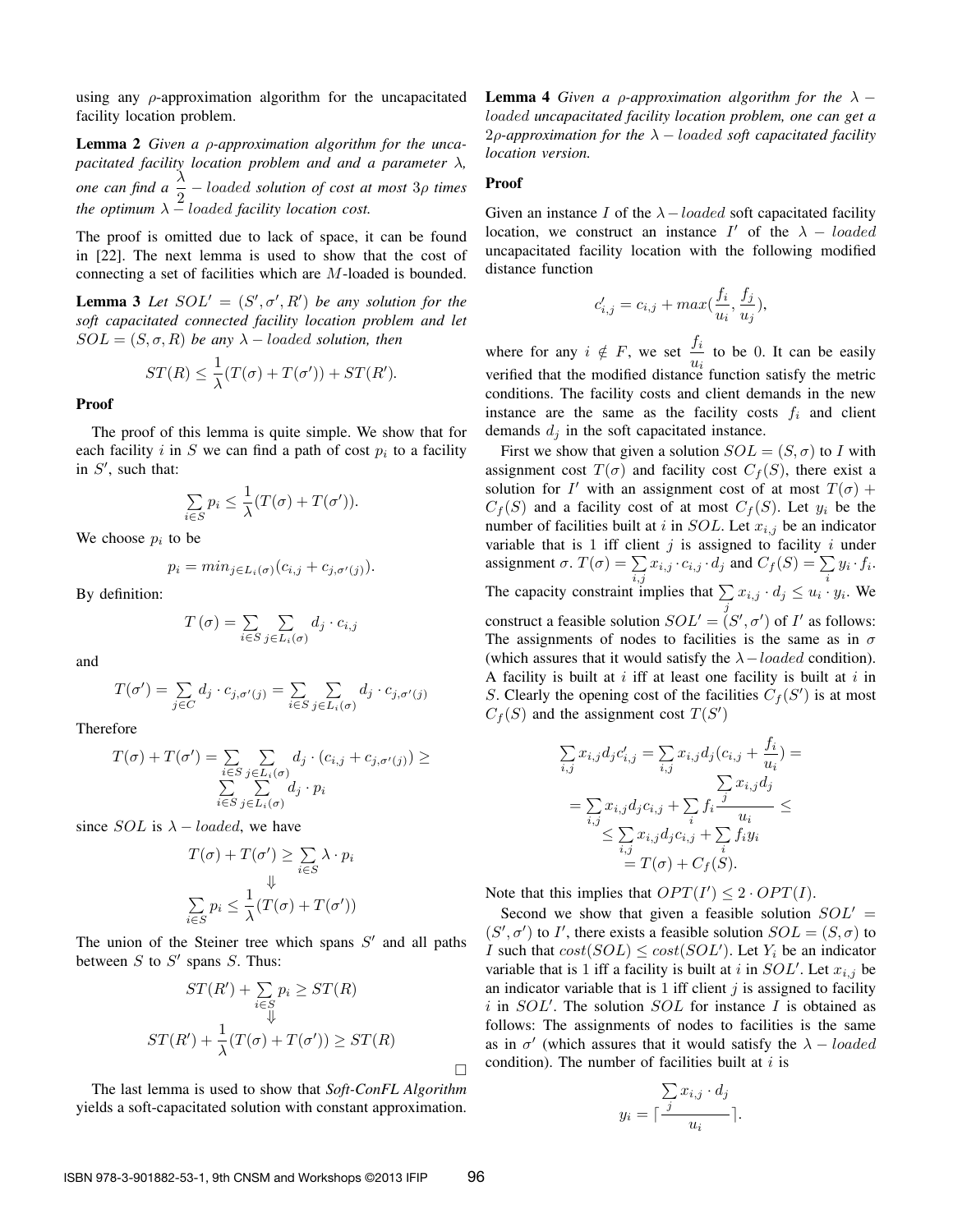using any  $\rho$ -approximation algorithm for the uncapacitated facility location problem.

Lemma 2 *Given a* ρ*-approximation algorithm for the uncapacitated facility location problem and and a parameter* λ*, one can find a*  $\frac{\lambda}{2}$  – *loaded solution of cost at most* 3*ρ times the optimum*  $\lambda$  – loaded facility location cost.

The proof is omitted due to lack of space, it can be found in [22]. The next lemma is used to show that the cost of connecting a set of facilities which are M-loaded is bounded.

**Lemma 3** Let  $SOL' = (S', \sigma', R')$  be any solution for the *soft capacitated connected facility location problem and let*  $SOL = (S, \sigma, R)$  *be any*  $\lambda$  – *loaded solution, then* 

$$
ST(R) \le \frac{1}{\lambda}(T(\sigma) + T(\sigma')) + ST(R').
$$

Proof

The proof of this lemma is quite simple. We show that for each facility i in S we can find a path of cost  $p_i$  to a facility in  $S'$ , such that:

$$
\sum_{i \in S} p_i \le \frac{1}{\lambda} (T(\sigma) + T(\sigma')).
$$

We choose  $p_i$  to be

$$
p_i = min_{j \in L_i(\sigma)} (c_{i,j} + c_{j,\sigma'(j)}).
$$

By definition:

$$
T(\sigma) = \sum_{i \in S} \sum_{j \in L_i(\sigma)} d_j \cdot c_{i,j}
$$

and

$$
T(\sigma') = \sum_{j \in C} d_j \cdot c_{j, \sigma'(j)} = \sum_{i \in S} \sum_{j \in L_i(\sigma)} d_j \cdot c_{j, \sigma'(j)}
$$

Therefore

$$
T(\sigma) + T(\sigma') = \sum_{\substack{i \in S \\ \sum i \in S}} \sum_{\substack{j \in L_i(\sigma) \\ j \in S}} d_j \cdot (c_{i,j} + c_{j,\sigma'(j)}) \ge
$$

since *SOL* is  $\lambda$  – *loaded*, we have

$$
T(\sigma) + T(\sigma') \ge \sum_{i \in S} \lambda \cdot p_i
$$
  

$$
\Downarrow
$$
  

$$
\sum_{i \in S} p_i \le \frac{1}{\lambda} (T(\sigma) + T(\sigma'))
$$

The union of the Steiner tree which spans  $S'$  and all paths between  $S$  to  $S'$  spans  $S$ . Thus:

$$
ST(R') + \sum_{i \in S} p_i \ge ST(R)
$$
  

$$
ST(R') + \frac{1}{\lambda}(T(\sigma) + T(\sigma')) \ge ST(R)
$$

П

The last lemma is used to show that *Soft-ConFL Algorithm* yields a soft-capacitated solution with constant approximation. **Lemma 4** *Given a ρ-approximation algorithm for the*  $\lambda$  – loaded *uncapacitated facility location problem, one can get a* 2ρ*-approximation for the* λ − loaded *soft capacitated facility location version.*

#### Proof

Given an instance I of the  $\lambda$  -loaded soft capacitated facility location, we construct an instance  $I'$  of the  $\lambda$  – loaded uncapacitated facility location with the following modified distance function

$$
c'_{i,j} = c_{i,j} + max(\frac{f_i}{u_i}, \frac{f_j}{u_j}),
$$

where for any  $i \notin F$ , we set  $\frac{f_i}{f}$  $\frac{\partial u}{\partial u_i}$  to be 0. It can be easily verified that the modified distance function satisfy the metric conditions. The facility costs and client demands in the new instance are the same as the facility costs  $f_i$  and client demands  $d_j$  in the soft capacitated instance.

First we show that given a solution  $SOL = (S, \sigma)$  to I with assignment cost  $T(\sigma)$  and facility cost  $C_f(S)$ , there exist a solution for I' with an assignment cost of at most  $T(\sigma)$  +  $C_f(S)$  and a facility cost of at most  $C_f(S)$ . Let  $y_i$  be the number of facilities built at i in  $SOL$ . Let  $x_{i,j}$  be an indicator variable that is 1 iff client  $j$  is assigned to facility  $i$  under assignment  $\sigma$ .  $T(\sigma) = \sum_{i,j} x_{i,j} \cdot c_{i,j} \cdot d_j$  and  $C_f(S) = \sum_i y_i \cdot f_i$ . The capacity constraint implies that  $\sum_j x_{i,j} \cdot d_j \leq u_i \cdot y_i$ . We construct a feasible solution  $SOL' = (S', \sigma')$  of I' as follows: The assignments of nodes to facilities is the same as in  $\sigma$ (which assures that it would satisfy the  $\lambda$  – loaded condition). A facility is built at  $i$  iff at least one facility is built at  $i$  in S. Clearly the opening cost of the facilities  $C_f(S')$  is at most  $C_f(S)$  and the assignment cost  $T(S')$ 

$$
\sum_{i,j} x_{i,j} d_j c'_{i,j} = \sum_{i,j} x_{i,j} d_j (c_{i,j} + \frac{f_i}{u_i}) =
$$
\n
$$
= \sum_{i,j} x_{i,j} d_j c_{i,j} + \sum_i f_i \frac{j}{u_i} \le
$$
\n
$$
\le \sum_{i,j} x_{i,j} d_j c_{i,j} + \sum_i f_i y_i
$$
\n
$$
= T(\sigma) + C_f(S).
$$

Note that this implies that  $OPT(I') \leq 2 \cdot OPT(I)$ .

Second we show that given a feasible solution  $SOL' =$  $(S', \sigma')$  to I', there exists a feasible solution  $SOL = (S, \sigma)$  to *I* such that  $cost(SOL) \leq cost(SOL')$ . Let  $Y_i$  be an indicator variable that is 1 iff a facility is built at i in  $SOL'$ . Let  $x_{i,j}$  be an indicator variable that is 1 iff client  $j$  is assigned to facility i in  $SOL'$ . The solution  $SOL$  for instance I is obtained as follows: The assignments of nodes to facilities is the same as in  $\sigma'$  (which assures that it would satisfy the  $\lambda - loaded$ condition). The number of facilities built at  $i$  is

$$
y_i = \lceil \frac{\sum x_{i,j} \cdot d_j}{u_i} \rceil.
$$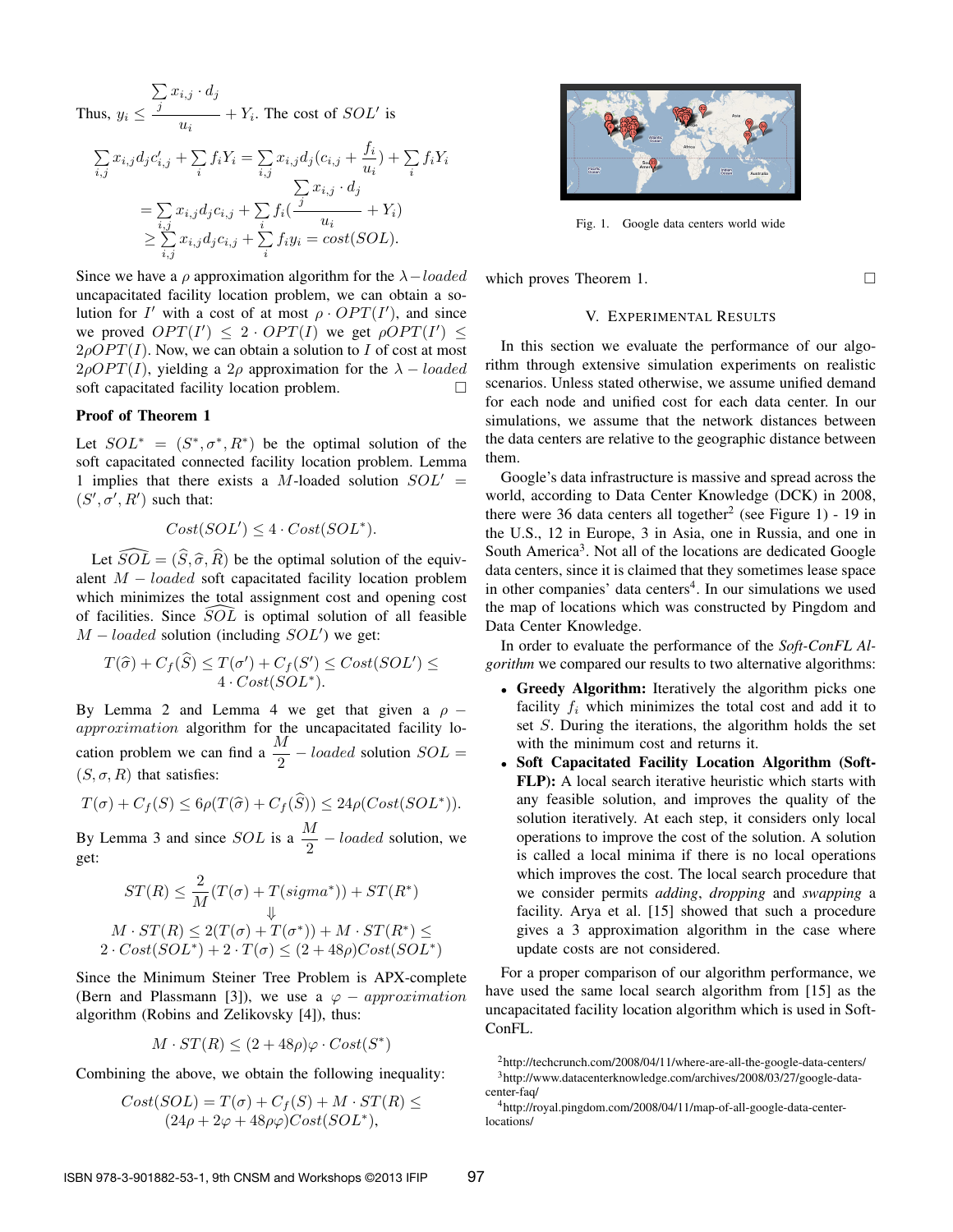Thus,  $y_i \leq$ P  $\sum\limits_j {{x_{i,j}}\cdot {d_j}}$  $\frac{u_i}{u_i}$  +  $Y_i$ . The cost of *SOL'* is

$$
\sum_{i,j} x_{i,j} d_j c'_{i,j} + \sum_i f_i Y_i = \sum_{i,j} x_{i,j} d_j (c_{i,j} + \frac{f_i}{u_i}) + \sum_i f_i Y_i
$$
  
\n
$$
= \sum_{i,j} x_{i,j} d_j c_{i,j} + \sum_i f_i (\frac{j}{u_i} + Y_i)
$$
  
\n
$$
\geq \sum_{i,j} x_{i,j} d_j c_{i,j} + \sum_i f_i y_i = cost(SOL).
$$

Since we have a ρ approximation algorithm for the  $\lambda$  -loaded uncapacitated facility location problem, we can obtain a solution for I' with a cost of at most  $\rho \cdot OPT(I')$ , and since we proved  $OPT(I') \leq 2 \cdot OPT(I)$  we get  $\rho OPT(I') \leq$  $2\rho OPT(I)$ . Now, we can obtain a solution to I of cost at most  $2\rho OPT(I)$ , yielding a  $2\rho$  approximation for the  $\lambda - loaded$ soft capacitated facility location problem.

# Proof of Theorem 1

Let  $SOL^* = (S^*, \sigma^*, R^*)$  be the optimal solution of the soft capacitated connected facility location problem. Lemma 1 implies that there exists a M-loaded solution  $SOL' =$  $(S', \sigma', R')$  such that:

$$
Cost(SOL') \le 4 \cdot Cost(SOL^*).
$$

Let  $\widehat{SOL} = (\widehat{S}, \widehat{\sigma}, \widehat{R})$  be the optimal solution of the equivalent  $M - loaded$  soft capacitated facility location problem which minimizes the total assignment cost and opening cost of facilities. Since  $\widetilde{SOL}$  is optimal solution of all feasible  $M - loaded$  solution (including  $SOL'$ ) we get:

$$
T(\widehat{\sigma})+C_f(\widehat{S})\leq T(\sigma')+C_f(S')\leq Cost(SOL')\leq 4\cdot Cost(SOL^*).
$$

By Lemma 2 and Lemma 4 we get that given a  $\rho$  − approximation algorithm for the uncapacitated facility location problem we can find a  $\frac{M}{2}$  – loaded solution  $SOL =$  $(S, \sigma, R)$  that satisfies:

$$
T(\sigma) + C_f(S) \le 6\rho(T(\widehat{\sigma}) + C_f(\widehat{S})) \le 24\rho(Cost(SOL^*)).
$$

By Lemma 3 and since *SOL* is a  $\frac{M}{2}$  – *loaded* solution, we get:

$$
ST(R) \leq \frac{2}{M}(T(\sigma) + T(signna^*)) + ST(R^*)
$$
  
 
$$
\Downarrow
$$
  
 
$$
M \cdot ST(R) \leq 2(T(\sigma) + T(\sigma^*)) + M \cdot ST(R^*) \leq
$$
  
 
$$
2 \cdot Cost(SOL^*) + 2 \cdot T(\sigma) \leq (2 + 48\rho)Cost(SOL^*)
$$

Since the Minimum Steiner Tree Problem is APX-complete (Bern and Plassmann [3]), we use a  $\varphi$  – approximation algorithm (Robins and Zelikovsky [4]), thus:

$$
M \cdot ST(R) \le (2 + 48\rho)\varphi \cdot Cost(S^*)
$$

Combining the above, we obtain the following inequality:

$$
Cost(SOL) = T(\sigma) + C_f(S) + M \cdot ST(R) \le
$$
  

$$
(24\rho + 2\varphi + 48\rho\varphi)Cost(SOL^*),
$$



Fig. 1. Google data centers world wide

which proves Theorem 1.

# V. EXPERIMENTAL RESULTS

In this section we evaluate the performance of our algorithm through extensive simulation experiments on realistic scenarios. Unless stated otherwise, we assume unified demand for each node and unified cost for each data center. In our simulations, we assume that the network distances between the data centers are relative to the geographic distance between them.

Google's data infrastructure is massive and spread across the world, according to Data Center Knowledge (DCK) in 2008, there were 36 data centers all together<sup>2</sup> (see Figure 1) - 19 in the U.S., 12 in Europe, 3 in Asia, one in Russia, and one in South America<sup>3</sup>. Not all of the locations are dedicated Google data centers, since it is claimed that they sometimes lease space in other companies' data centers<sup>4</sup>. In our simulations we used the map of locations which was constructed by Pingdom and Data Center Knowledge.

In order to evaluate the performance of the *Soft-ConFL Algorithm* we compared our results to two alternative algorithms:

- Greedy Algorithm: Iteratively the algorithm picks one facility  $f_i$  which minimizes the total cost and add it to set S. During the iterations, the algorithm holds the set with the minimum cost and returns it.
- Soft Capacitated Facility Location Algorithm (Soft-FLP): A local search iterative heuristic which starts with any feasible solution, and improves the quality of the solution iteratively. At each step, it considers only local operations to improve the cost of the solution. A solution is called a local minima if there is no local operations which improves the cost. The local search procedure that we consider permits *adding*, *dropping* and *swapping* a facility. Arya et al. [15] showed that such a procedure gives a 3 approximation algorithm in the case where update costs are not considered.

For a proper comparison of our algorithm performance, we have used the same local search algorithm from [15] as the uncapacitated facility location algorithm which is used in Soft-ConFL.

<sup>2</sup>http://techcrunch.com/2008/04/11/where-are-all-the-google-data-centers/ <sup>3</sup>http://www.datacenterknowledge.com/archives/2008/03/27/google-datacenter-faq/

<sup>4</sup>http://royal.pingdom.com/2008/04/11/map-of-all-google-data-centerlocations/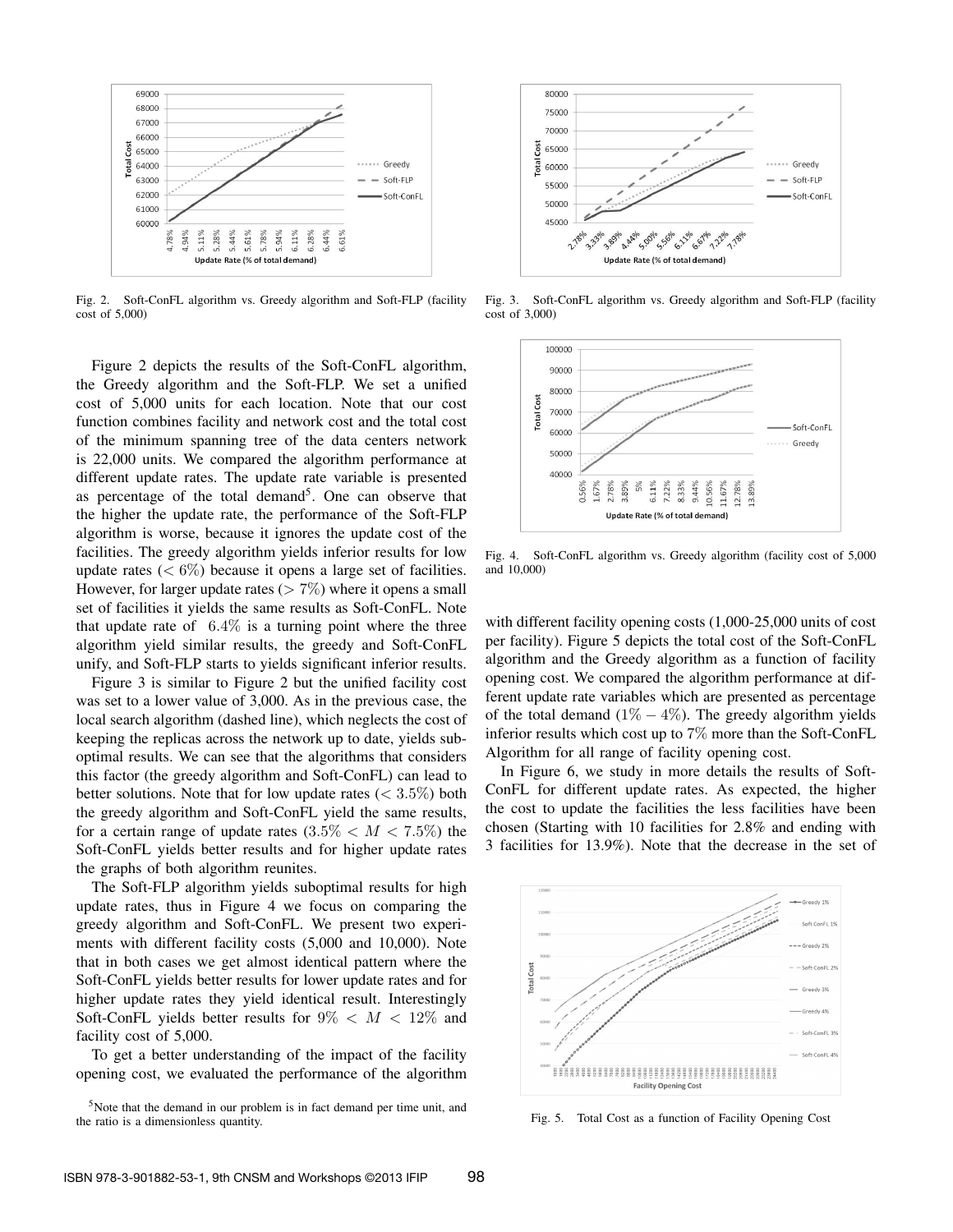

Fig. 2. Soft-ConFL algorithm vs. Greedy algorithm and Soft-FLP (facility cost of 5,000)

Figure 2 depicts the results of the Soft-ConFL algorithm, the Greedy algorithm and the Soft-FLP. We set a unified cost of 5,000 units for each location. Note that our cost function combines facility and network cost and the total cost of the minimum spanning tree of the data centers network is 22,000 units. We compared the algorithm performance at different update rates. The update rate variable is presented as percentage of the total demand<sup>5</sup>. One can observe that the higher the update rate, the performance of the Soft-FLP algorithm is worse, because it ignores the update cost of the facilities. The greedy algorithm yields inferior results for low update rates  $(< 6\%)$  because it opens a large set of facilities. However, for larger update rates ( $> 7\%$ ) where it opens a small set of facilities it yields the same results as Soft-ConFL. Note that update rate of  $6.4\%$  is a turning point where the three algorithm yield similar results, the greedy and Soft-ConFL unify, and Soft-FLP starts to yields significant inferior results.

Figure 3 is similar to Figure 2 but the unified facility cost was set to a lower value of 3,000. As in the previous case, the local search algorithm (dashed line), which neglects the cost of keeping the replicas across the network up to date, yields suboptimal results. We can see that the algorithms that considers this factor (the greedy algorithm and Soft-ConFL) can lead to better solutions. Note that for low update rates  $(< 3.5\%)$  both the greedy algorithm and Soft-ConFL yield the same results, for a certain range of update rates  $(3.5\% < M < 7.5\%)$  the Soft-ConFL yields better results and for higher update rates the graphs of both algorithm reunites.

The Soft-FLP algorithm yields suboptimal results for high update rates, thus in Figure 4 we focus on comparing the greedy algorithm and Soft-ConFL. We present two experiments with different facility costs (5,000 and 10,000). Note that in both cases we get almost identical pattern where the Soft-ConFL yields better results for lower update rates and for higher update rates they yield identical result. Interestingly Soft-ConFL yields better results for  $9\% < M < 12\%$  and facility cost of 5,000.

To get a better understanding of the impact of the facility opening cost, we evaluated the performance of the algorithm





Fig. 3. Soft-ConFL algorithm vs. Greedy algorithm and Soft-FLP (facility cost of 3,000)



Fig. 4. Soft-ConFL algorithm vs. Greedy algorithm (facility cost of 5,000 and 10,000)

with different facility opening costs (1,000-25,000 units of cost per facility). Figure 5 depicts the total cost of the Soft-ConFL algorithm and the Greedy algorithm as a function of facility opening cost. We compared the algorithm performance at different update rate variables which are presented as percentage of the total demand ( $1\% - 4\%$ ). The greedy algorithm yields inferior results which cost up to 7% more than the Soft-ConFL Algorithm for all range of facility opening cost.

In Figure 6, we study in more details the results of Soft-ConFL for different update rates. As expected, the higher the cost to update the facilities the less facilities have been chosen (Starting with 10 facilities for 2.8% and ending with 3 facilities for 13.9%). Note that the decrease in the set of



Fig. 5. Total Cost as a function of Facility Opening Cost